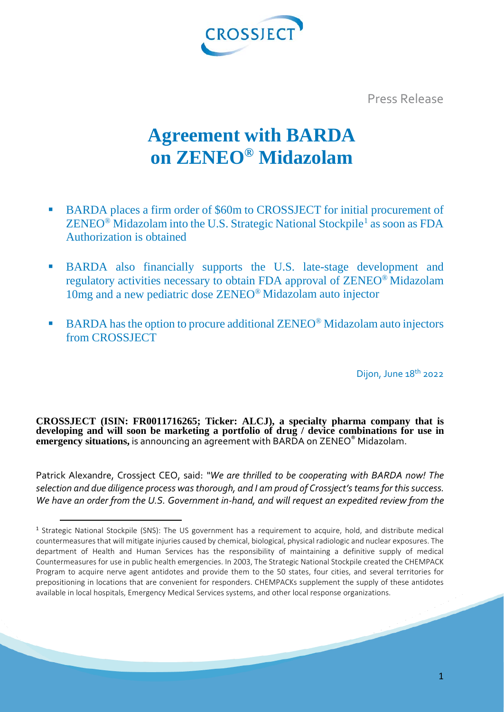

Press Release

# **Agreement with BARDA on ZENEO® Midazolam**

- BARDA places a firm order of \$60m to CROSSJECT for initial procurement of  $ZENEO^{\circledast}$  Midazolam into the U.S. Strategic National Stockpile<sup>[1](#page-0-0)</sup> as soon as FDA Authorization is obtained
- BARDA also financially supports the U.S. late-stage development and regulatory activities necessary to obtain FDA approval of ZENEO® Midazolam 10mg and a new pediatric dose ZENEO® Midazolam auto injector
- $\blacksquare$  BARDA has the option to procure additional ZENEO<sup>®</sup> Midazolam auto injectors from CROSSJECT

Dijon, June 18<sup>th</sup> 2022

**CROSSJECT (ISIN: FR0011716265; Ticker: ALCJ), a specialty pharma company that is developing and will soon be marketing a portfolio of drug / device combinations for use in emergency situations,** is announcing an agreement with BARDA on ZENEO® Midazolam.

Patrick Alexandre, Crossject CEO, said: *"We are thrilled to be cooperating with BARDA now! The selection and due diligence process was thorough, and I am proud of Crossject's teams for this success. We have an order from the U.S. Government in-hand, and will request an expedited review from the* 

<span id="page-0-0"></span> <sup>1</sup> Strategic National Stockpile (SNS): The US government has a requirement to acquire, hold, and distribute medical countermeasures that will mitigate injuries caused by chemical, biological, physical radiologic and nuclear exposures. The department of Health and Human Services has the responsibility of maintaining a definitive supply of medical Countermeasures for use in public health emergencies. In 2003, The Strategic National Stockpile created the CHEMPACK Program to acquire nerve agent antidotes and provide them to the 50 states, four cities, and several territories for prepositioning in locations that are convenient for responders. CHEMPACKs supplement the supply of these antidotes available in local hospitals, Emergency Medical Services systems, and other local response organizations.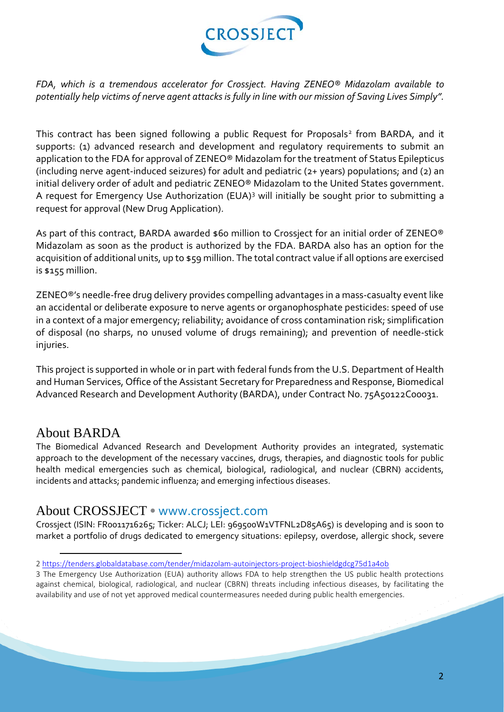

*FDA, which is a tremendous accelerator for Crossject. Having ZENEO® Midazolam available to potentially help victims of nerve agent attacks is fully in line with our mission of Saving Lives Simply".*

This contract has been signed following a public Request for Proposals<sup>[2](#page-1-0)</sup> from BARDA, and it supports: (1) advanced research and development and regulatory requirements to submit an application to the FDA for approval of ZENEO® Midazolam for the treatment of Status Epilepticus (including nerve agent-induced seizures) for adult and pediatric (2+ years) populations; and (2) an initial delivery order of adult and pediatric ZENEO® Midazolam to the United States government. A request for Emergency Use Authorization (EUA)[3](#page-1-1) will initially be sought prior to submitting a request for approval (New Drug Application).

As part of this contract, BARDA awarded \$60 million to Crossiect for an initial order of ZENEO® Midazolam as soon as the product is authorized by the FDA. BARDA also has an option for the acquisition of additional units, up to \$59 million. The total contract value if all options are exercised is \$155 million.

ZENEO®'s needle-free drug delivery provides compelling advantages in a mass-casualty event like an accidental or deliberate exposure to nerve agents or organophosphate pesticides: speed of use in a context of a major emergency; reliability; avoidance of cross contamination risk; simplification of disposal (no sharps, no unused volume of drugs remaining); and prevention of needle-stick injuries.

This project is supported in whole or in part with federal funds from the U.S. Department of Health and Human Services, Office of the Assistant Secretary for Preparedness and Response, Biomedical Advanced Research and Development Authority (BARDA), under Contract No. 75A50122C00031.

### About BARDA

 $\overline{a}$ 

The Biomedical Advanced Research and Development Authority provides an integrated, systematic approach to the development of the necessary vaccines, drugs, therapies, and diagnostic tools for public health medical emergencies such as chemical, biological, radiological, and nuclear (CBRN) accidents, incidents and attacks; pandemic influenza; and emerging infectious diseases.

### About CROSSJECT • www.crossject.com

Crossject (ISIN: FR0011716265; Ticker: ALCJ; LEI: 969500W1VTFNL2D85A65) is developing and is soon to market a portfolio of drugs dedicated to emergency situations: epilepsy, overdose, allergic shock, severe

<span id="page-1-0"></span><sup>2</sup> <https://tenders.globaldatabase.com/tender/midazolam-autoinjectors-project-bioshieldgdcg75d1a4ob>

<span id="page-1-1"></span><sup>3</sup> The Emergency Use Authorization (EUA) authority allows FDA to help strengthen the US public health protections against chemical, biological, radiological, and nuclear (CBRN) threats including infectious diseases, by facilitating the availability and use of not yet approved medical countermeasures needed during public health emergencies.